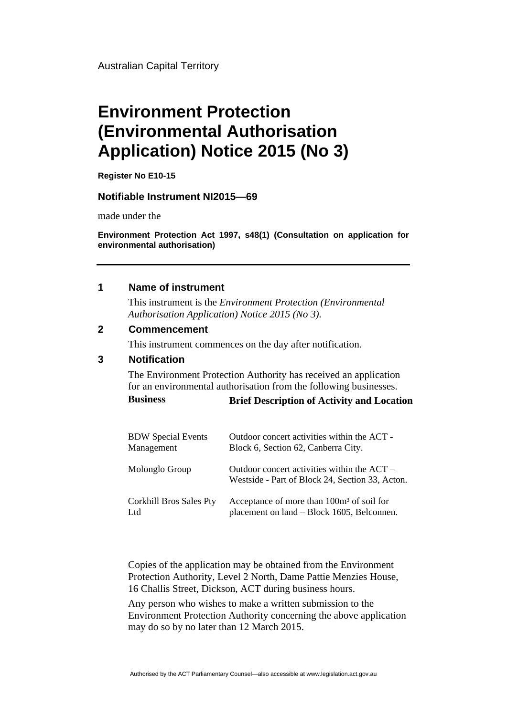Australian Capital Territory

# **Environment Protection (Environmental Authorisation Application) Notice 2015 (No 3)**

**Register No E10-15** 

#### **Notifiable Instrument NI2015—69**

made under the

**Environment Protection Act 1997, s48(1) (Consultation on application for environmental authorisation)**

#### **1 Name of instrument**

This instrument is the *Environment Protection (Environmental Authorisation Application) Notice 2015 (No 3).* 

## **2 Commencement**

This instrument commences on the day after notification.

### **3 Notification**

The Environment Protection Authority has received an application for an environmental authorisation from the following businesses.

| <b>Business</b> | <b>Brief Description of Activity and Location</b> |
|-----------------|---------------------------------------------------|
|-----------------|---------------------------------------------------|

| <b>BDW</b> Special Events      | Outdoor concert activities within the ACT -                                                      |
|--------------------------------|--------------------------------------------------------------------------------------------------|
| Management                     | Block 6, Section 62, Canberra City.                                                              |
| Molonglo Group                 | Outdoor concert activities within the $ACT -$<br>Westside - Part of Block 24, Section 33, Acton. |
| <b>Corkhill Bros Sales Pty</b> | Acceptance of more than 100m <sup>3</sup> of soil for                                            |
| Ltd                            | placement on land – Block 1605, Belconnen.                                                       |

Copies of the application may be obtained from the Environment Protection Authority, Level 2 North, Dame Pattie Menzies House, 16 Challis Street, Dickson, ACT during business hours.

Any person who wishes to make a written submission to the Environment Protection Authority concerning the above application may do so by no later than 12 March 2015.